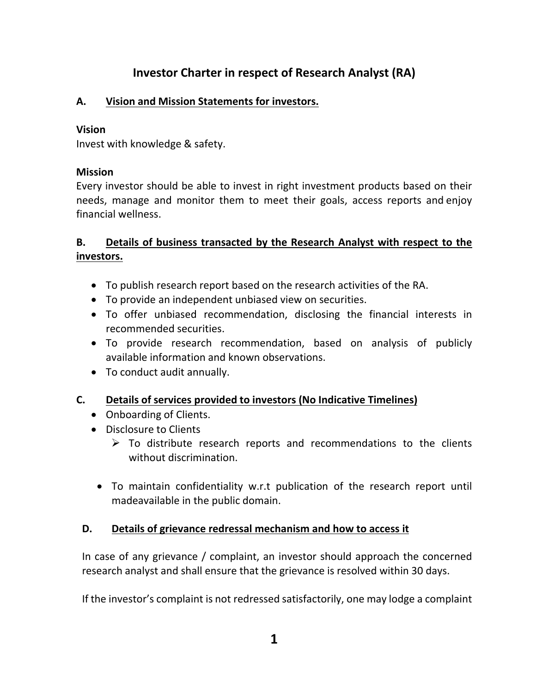# **Investor Charter in respect of Research Analyst (RA)**

# **A. Vision and Mission Statements for investors.**

#### **Vision**

Invest with knowledge & safety.

# **Mission**

Every investor should be able to invest in right investment products based on their needs, manage and monitor them to meet their goals, access reports and enjoy financial wellness.

# **B. Details of business transacted by the Research Analyst with respect to the investors.**

- To publish research report based on the research activities of the RA.
- To provide an independent unbiased view on securities.
- To offer unbiased recommendation, disclosing the financial interests in recommended securities.
- To provide research recommendation, based on analysis of publicly available information and known observations.
- To conduct audit annually.
- **C. Details of services provided to investors (No Indicative Timelines)**
	- Onboarding of Clients.
	- Disclosure to Clients
		- $\triangleright$  To distribute research reports and recommendations to the clients without discrimination.
		- To maintain confidentiality w.r.t publication of the research report until madeavailable in the public domain.

#### **D. Details of grievance redressal mechanism and how to access it**

In case of any grievance / complaint, an investor should approach the concerned research analyst and shall ensure that the grievance is resolved within 30 days.

If the investor's complaint is not redressed satisfactorily, one may lodge a complaint